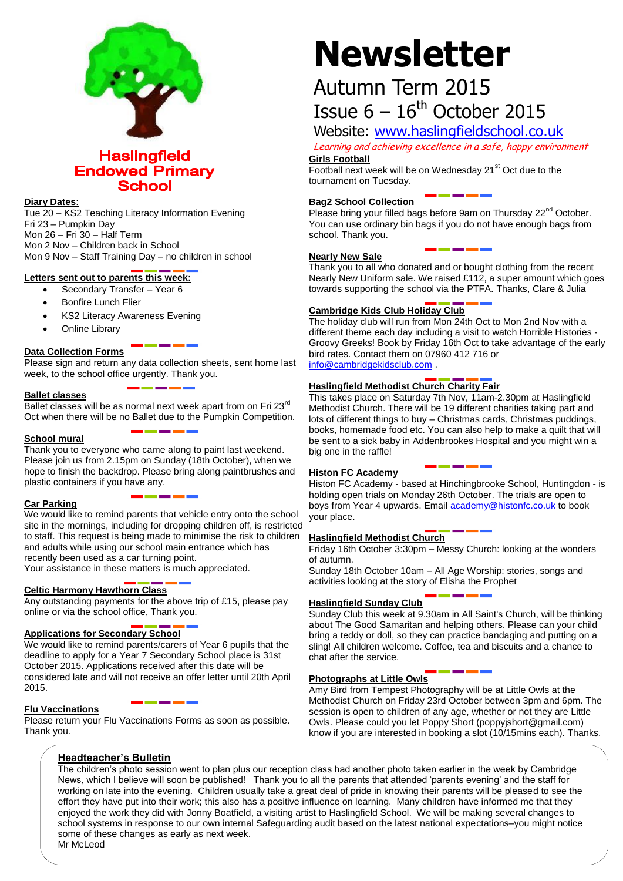

#### **Haslingfield Endowed Primary School**

#### **Diary Dates**:

Tue 20 – KS2 Teaching Literacy Information Evening Fri 23 – Pumpkin Day Mon 26 – Fri 30 – Half Term Mon 2 Nov – Children back in School Mon 9 Nov – Staff Training Day – no children in school

#### **Letters sent out to parents this week:**

- Secondary Transfer Year 6
- Bonfire Lunch Flier
- KS2 Literacy Awareness Evening
- Online Library

#### **Data Collection Forms**

Please sign and return any data collection sheets, sent home last week, to the school office urgently. Thank you.

#### **Ballet classes**

Ballet classes will be as normal next week apart from on Fri 23<sup>rd</sup> Oct when there will be no Ballet due to the Pumpkin Competition.

#### **School mural**

Thank you to everyone who came along to paint last weekend. Please join us from 2.15pm on Sunday (18th October), when we hope to finish the backdrop. Please bring along paintbrushes and plastic containers if you have any.

#### **Car Parking**

We would like to remind parents that vehicle entry onto the school site in the mornings, including for dropping children off, is restricted to staff. This request is being made to minimise the risk to children and adults while using our school main entrance which has recently been used as a car turning point.

Your assistance in these matters is much appreciated.

#### **Celtic Harmony Hawthorn Class**

Any outstanding payments for the above trip of £15, please pay online or via the school office, Thank you.

#### **Applications for Secondary School**

We would like to remind parents/carers of Year 6 pupils that the deadline to apply for a Year 7 Secondary School place is 31st October 2015. Applications received after this date will be considered late and will not receive an offer letter until 20th April 2015.

#### **Flu Vaccinations**

Please return your Flu Vaccinations Forms as soon as possible. Thank you.

# **Newsletter**

## Autumn Term 2015 Issue  $6 - 16$ <sup>th</sup> October 2015

### Website: [www.haslingfieldschool.co.uk](http://www.haslingfieldschool.co.uk/)

Learning and achieving excellence in a safe, happy environment **Girls Football**

Football next week will be on Wednesday  $21<sup>st</sup>$  Oct due to the tournament on Tuesday.

#### **Bag2 School Collection**

Please bring your filled bags before 9am on Thursday 22<sup>nd</sup> October. You can use ordinary bin bags if you do not have enough bags from school. Thank you.

#### **Nearly New Sale**

Thank you to all who donated and or bought clothing from the recent Nearly New Uniform sale. We raised £112, a super amount which goes towards supporting the school via the PTFA. Thanks, Clare & Julia

#### **Cambridge Kids Club Holiday Club**

The holiday club will run from Mon 24th Oct to Mon 2nd Nov with a different theme each day including a visit to watch Horrible Histories - Groovy Greeks! Book by Friday 16th Oct to take advantage of the early bird rates. Contact them on 07960 412 716 or [info@cambridgekidsclub.com](mailto:info@cambridgekidsclub.com) .

#### **Haslingfield Methodist Church Charity Fair**

This takes place on Saturday 7th Nov, 11am-2.30pm at Haslingfield Methodist Church. There will be 19 different charities taking part and lots of different things to buy – Christmas cards, Christmas puddings, books, homemade food etc. You can also help to make a quilt that will be sent to a sick baby in Addenbrookes Hospital and you might win a big one in the raffle!

#### **Histon FC Academy**

Histon FC Academy - based at Hinchingbrooke School, Huntingdon - is holding open trials on Monday 26th October. The trials are open to boys from Year 4 upwards. Email **academy@histonfc.co.uk** to book your place.

#### **Haslingfield Methodist Church**

Friday 16th October 3:30pm – Messy Church: looking at the wonders of autumn.

Sunday 18th October 10am – All Age Worship: stories, songs and activities looking at the story of Elisha the Prophet

#### **Haslingfield Sunday Club**

Sunday Club this week at 9.30am in All Saint's Church, will be thinking about The Good Samaritan and helping others. Please can your child bring a teddy or doll, so they can practice bandaging and putting on a sling! All children welcome. Coffee, tea and biscuits and a chance to chat after the service.

#### **Photographs at Little Owls**

Amy Bird from Tempest Photography will be at Little Owls at the Methodist Church on Friday 23rd October between 3pm and 6pm. The session is open to children of any age, whether or not they are Little Owls. Please could you let Poppy Short (poppyjshort@gmail.com) know if you are interested in booking a slot (10/15mins each). Thanks.

#### **Headteacher's Bulletin**

The children's photo session went to plan plus our reception class had another photo taken earlier in the week by Cambridge News, which I believe will soon be published! Thank you to all the parents that attended 'parents evening' and the staff for working on late into the evening. Children usually take a great deal of pride in knowing their parents will be pleased to see the effort they have put into their work; this also has a positive influence on learning. Many children have informed me that they enjoyed the work they did with Jonny Boatfield, a visiting artist to Haslingfield School. We will be making several changes to school systems in response to our own internal Safeguarding audit based on the latest national expectations–you might notice some of these changes as early as next week. Mr McLeod